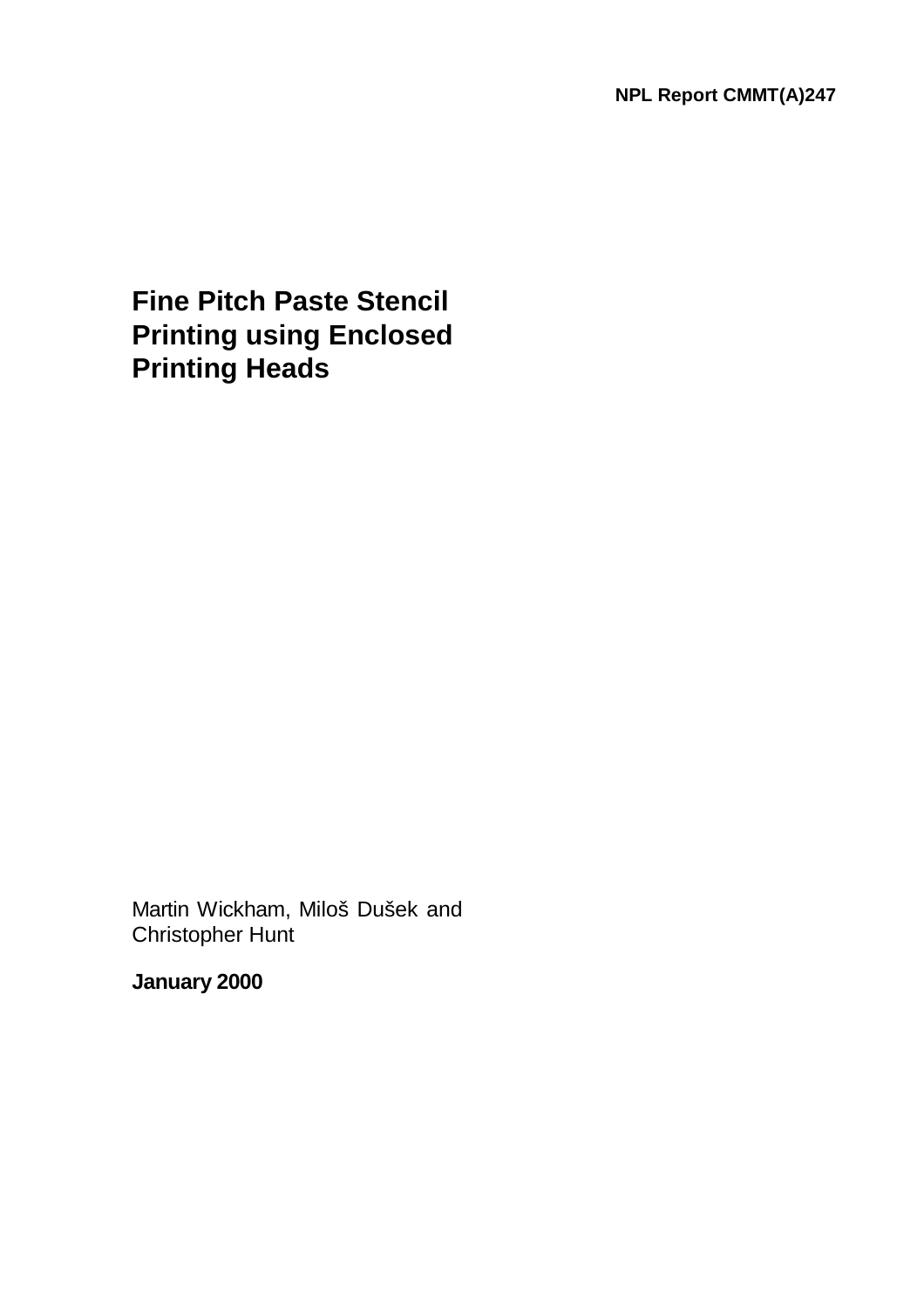**Fine Pitch Paste Stencil Printing using Enclosed Printing Heads**

Martin Wickham, Miloš Dušek and Christopher Hunt

**January 2000**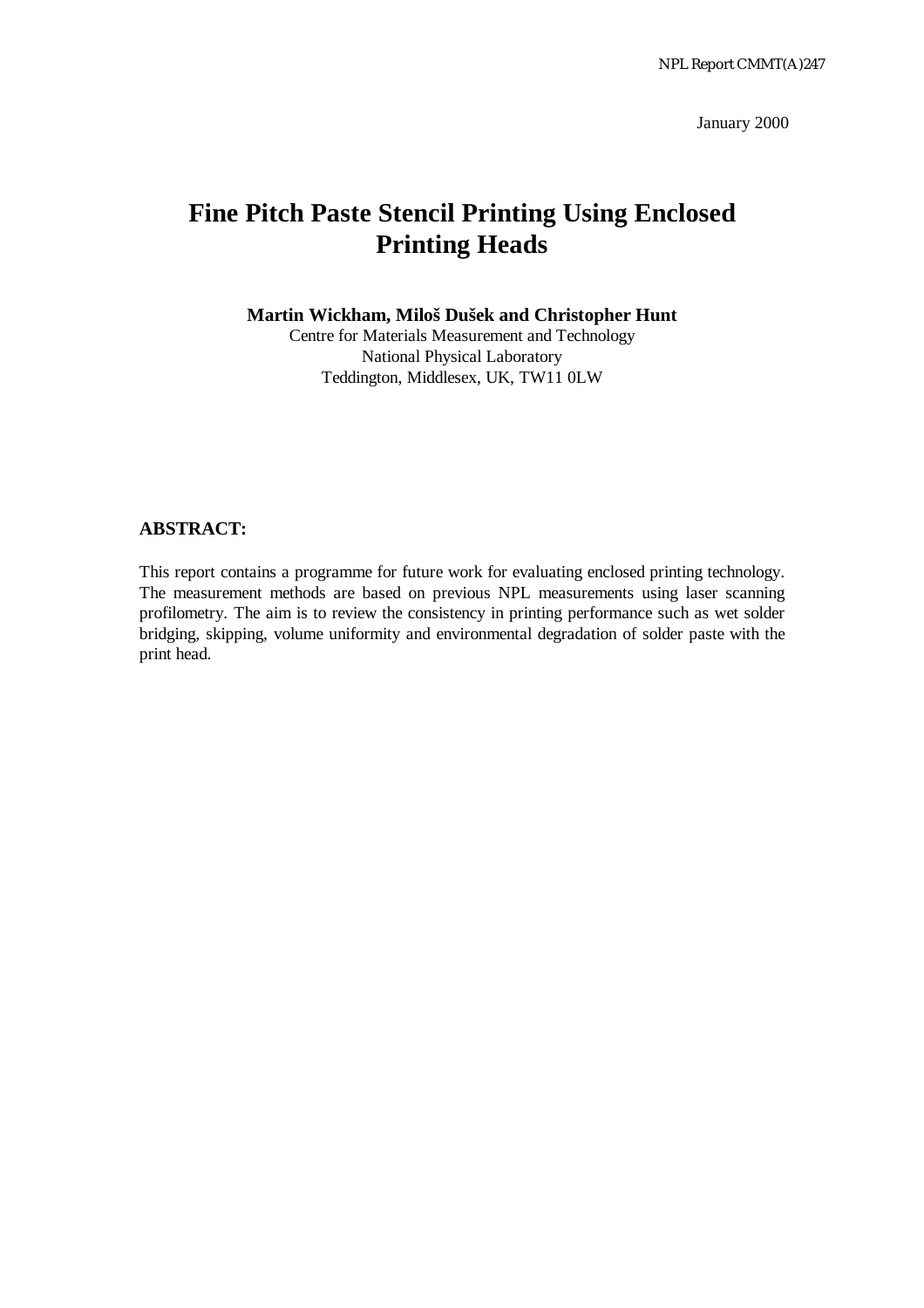January 2000

# **Fine Pitch Paste Stencil Printing Using Enclosed Printing Heads**

**Martin Wickham, Miloš Dušek and Christopher Hunt**

Centre for Materials Measurement and Technology National Physical Laboratory Teddington, Middlesex, UK, TW11 0LW

#### **ABSTRACT:**

This report contains a programme for future work for evaluating enclosed printing technology. The measurement methods are based on previous NPL measurements using laser scanning profilometry. The aim is to review the consistency in printing performance such as wet solder bridging, skipping, volume uniformity and environmental degradation of solder paste with the print head.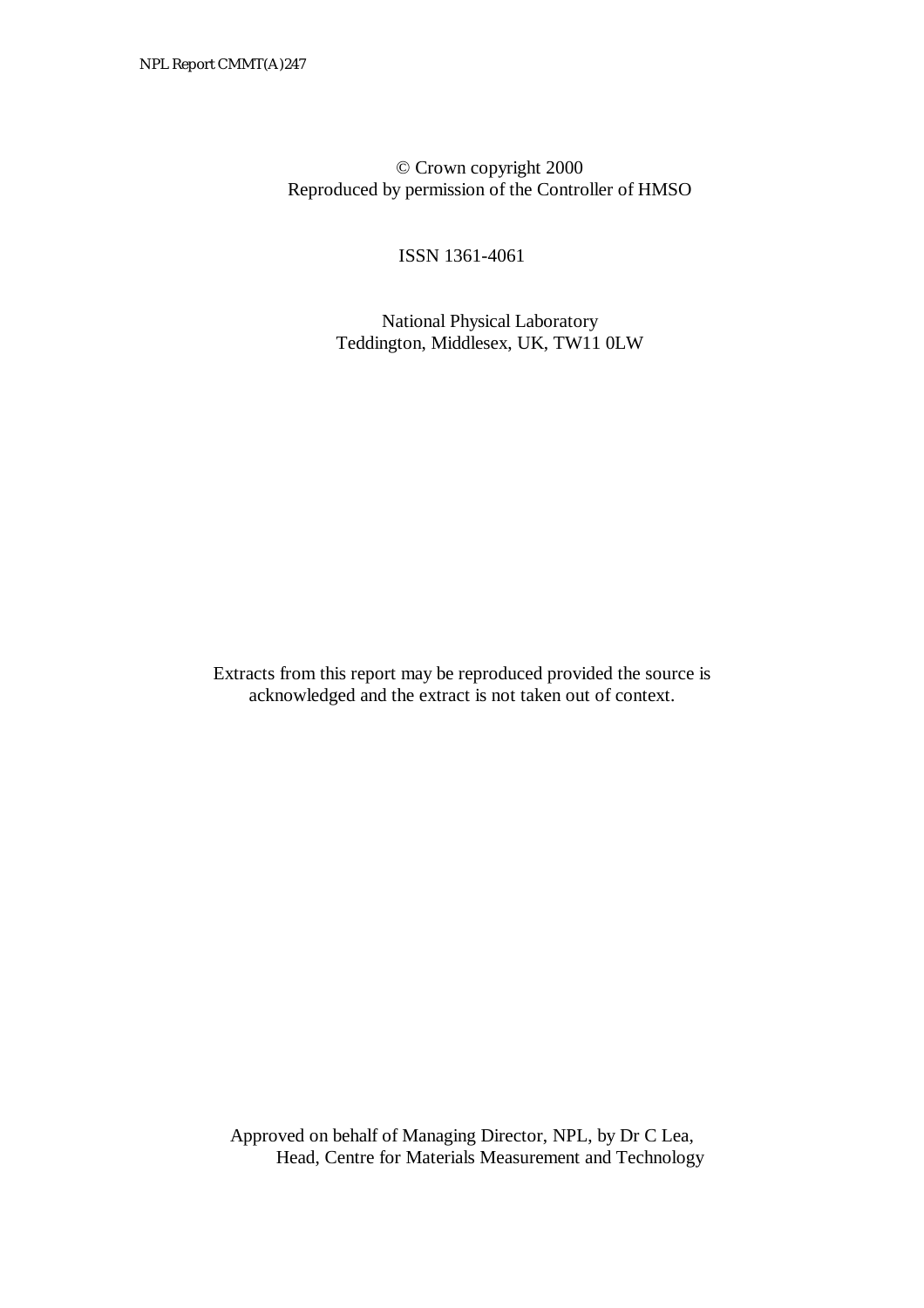© Crown copyright 2000 Reproduced by permission of the Controller of HMSO

ISSN 1361-4061

 National Physical Laboratory Teddington, Middlesex, UK, TW11 0LW

Extracts from this report may be reproduced provided the source is acknowledged and the extract is not taken out of context.

Approved on behalf of Managing Director, NPL, by Dr C Lea, Head, Centre for Materials Measurement and Technology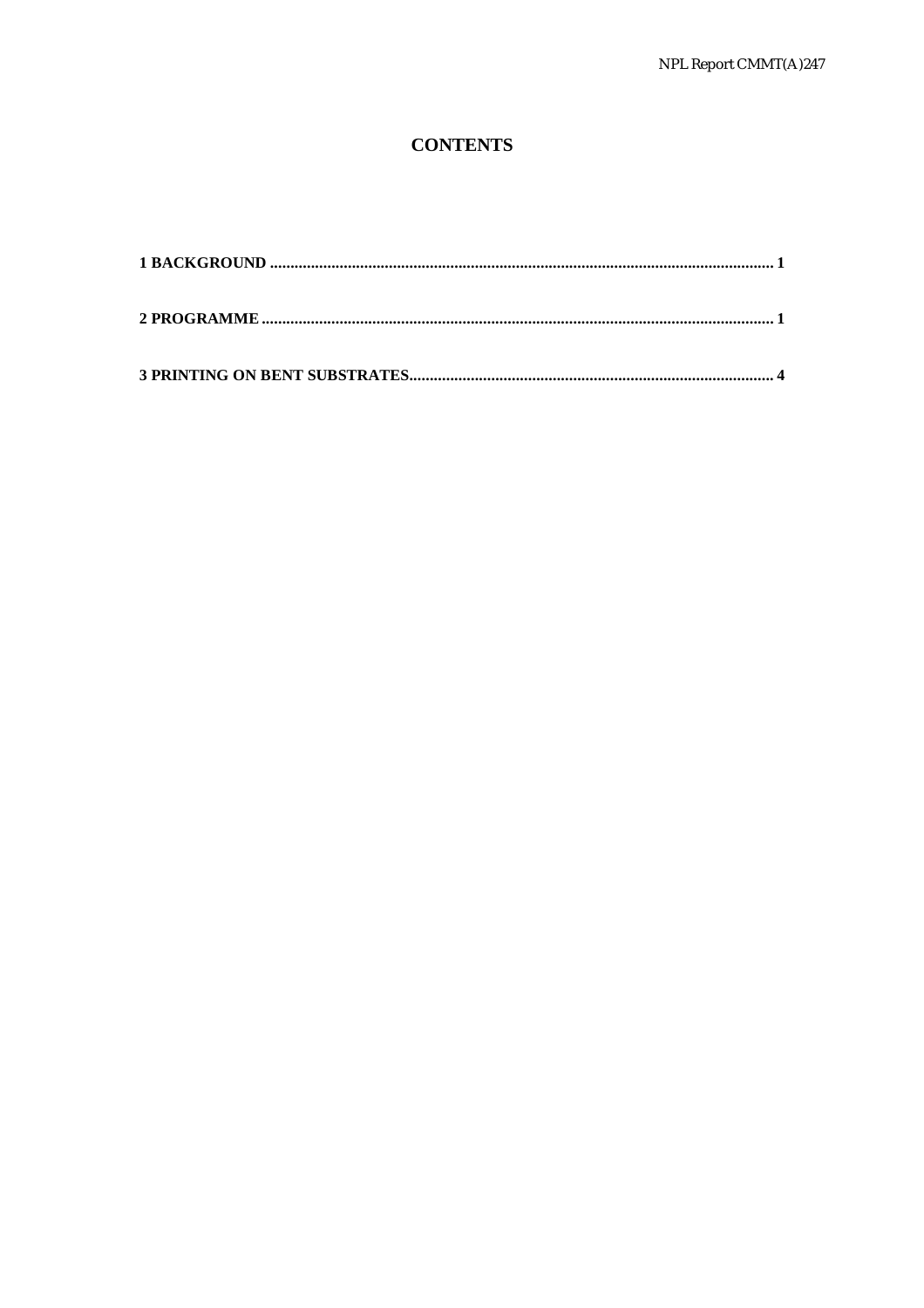## **CONTENTS**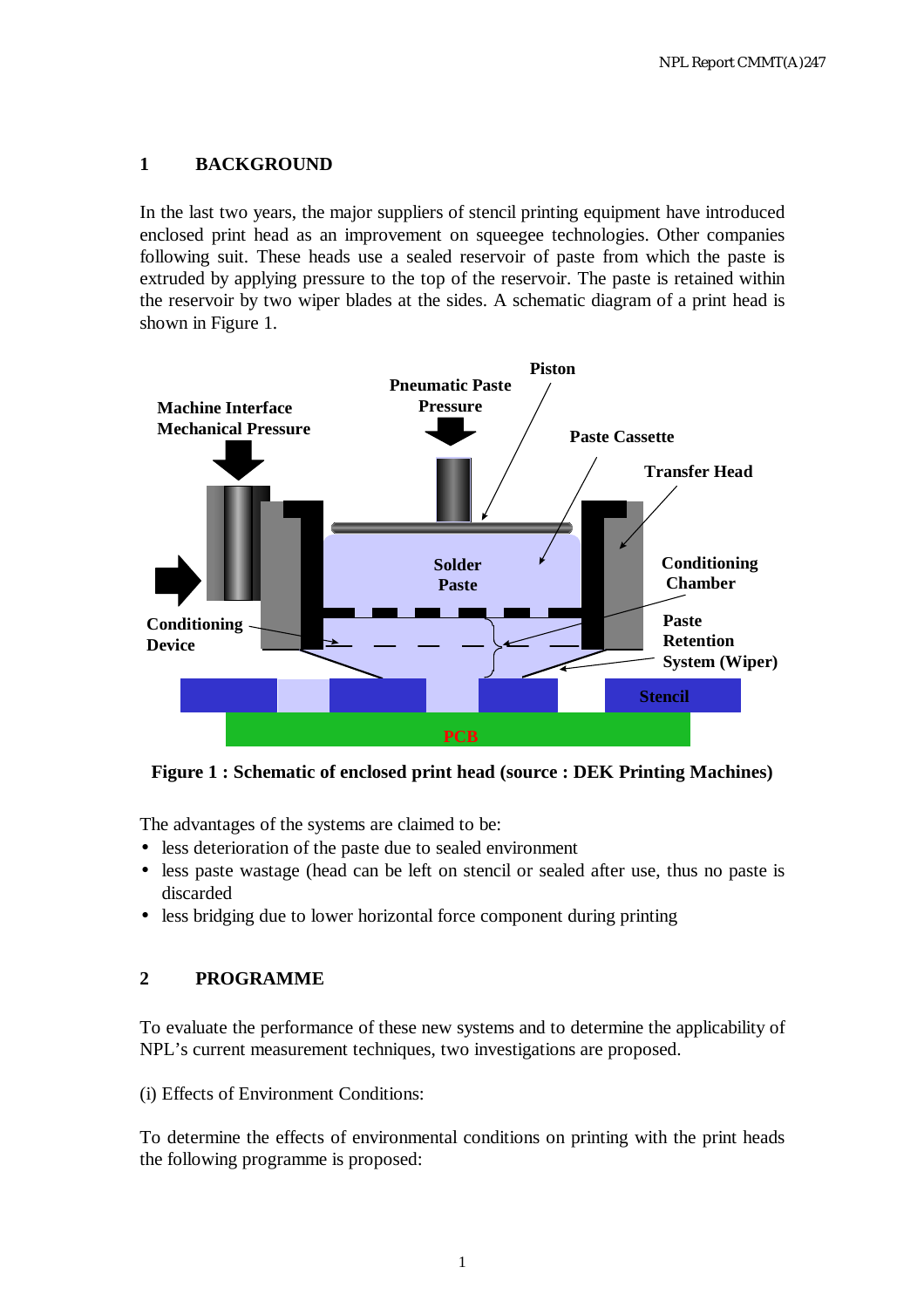### **1 BACKGROUND**

In the last two years, the major suppliers of stencil printing equipment have introduced enclosed print head as an improvement on squeegee technologies. Other companies following suit. These heads use a sealed reservoir of paste from which the paste is extruded by applying pressure to the top of the reservoir. The paste is retained within the reservoir by two wiper blades at the sides. A schematic diagram of a print head is shown in Figure 1.



**Figure 1 : Schematic of enclosed print head (source : DEK Printing Machines)** 

The advantages of the systems are claimed to be:

- less deterioration of the paste due to sealed environment
- less paste wastage (head can be left on stencil or sealed after use, thus no paste is discarded
- less bridging due to lower horizontal force component during printing

### **2 PROGRAMME**

To evaluate the performance of these new systems and to determine the applicability of NPL's current measurement techniques, two investigations are proposed.

(i) Effects of Environment Conditions:

To determine the effects of environmental conditions on printing with the print heads the following programme is proposed: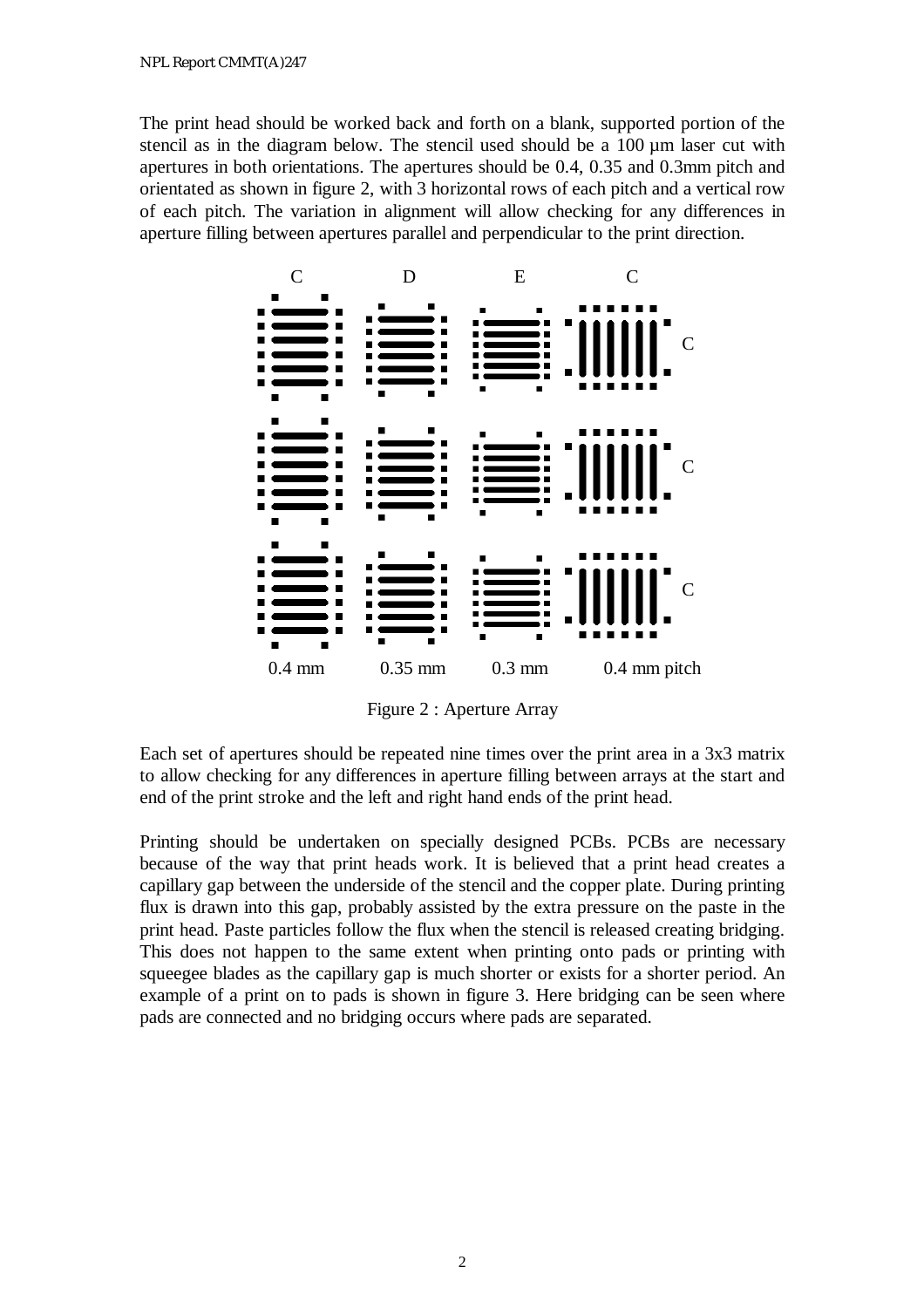The print head should be worked back and forth on a blank, supported portion of the stencil as in the diagram below. The stencil used should be a 100 µm laser cut with apertures in both orientations. The apertures should be 0.4, 0.35 and 0.3mm pitch and orientated as shown in figure 2, with 3 horizontal rows of each pitch and a vertical row of each pitch. The variation in alignment will allow checking for any differences in aperture filling between apertures parallel and perpendicular to the print direction.



Figure 2 : Aperture Array

Each set of apertures should be repeated nine times over the print area in a 3x3 matrix to allow checking for any differences in aperture filling between arrays at the start and end of the print stroke and the left and right hand ends of the print head.

Printing should be undertaken on specially designed PCBs. PCBs are necessary because of the way that print heads work. It is believed that a print head creates a capillary gap between the underside of the stencil and the copper plate. During printing flux is drawn into this gap, probably assisted by the extra pressure on the paste in the print head. Paste particles follow the flux when the stencil is released creating bridging. This does not happen to the same extent when printing onto pads or printing with squeegee blades as the capillary gap is much shorter or exists for a shorter period. An example of a print on to pads is shown in figure 3. Here bridging can be seen where pads are connected and no bridging occurs where pads are separated.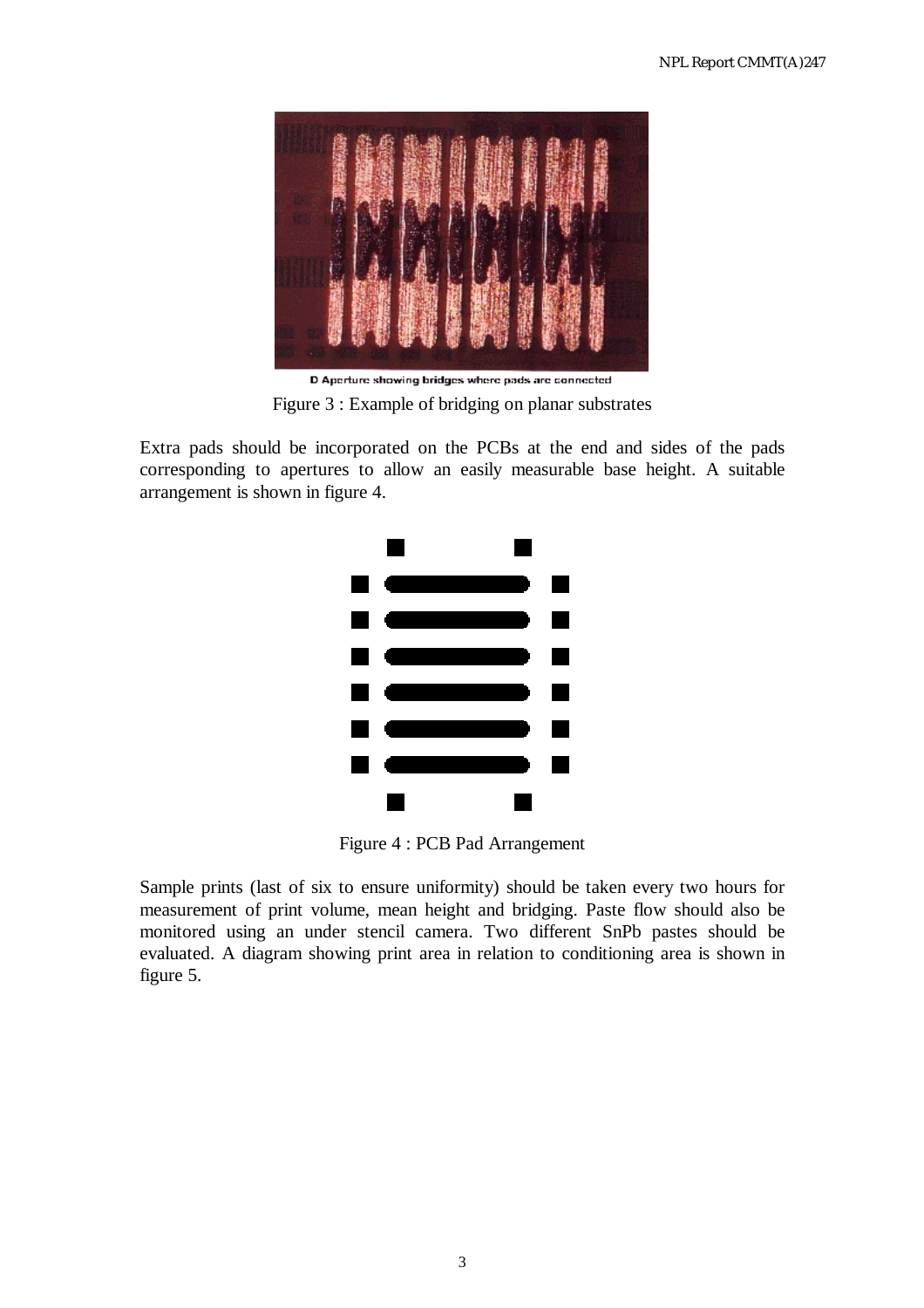

D Aperture showing bridges where pads are connected Figure 3 : Example of bridging on planar substrates

Extra pads should be incorporated on the PCBs at the end and sides of the pads corresponding to apertures to allow an easily measurable base height. A suitable arrangement is shown in figure 4.



Figure 4 : PCB Pad Arrangement

Sample prints (last of six to ensure uniformity) should be taken every two hours for measurement of print volume, mean height and bridging. Paste flow should also be monitored using an under stencil camera. Two different SnPb pastes should be evaluated. A diagram showing print area in relation to conditioning area is shown in figure 5.